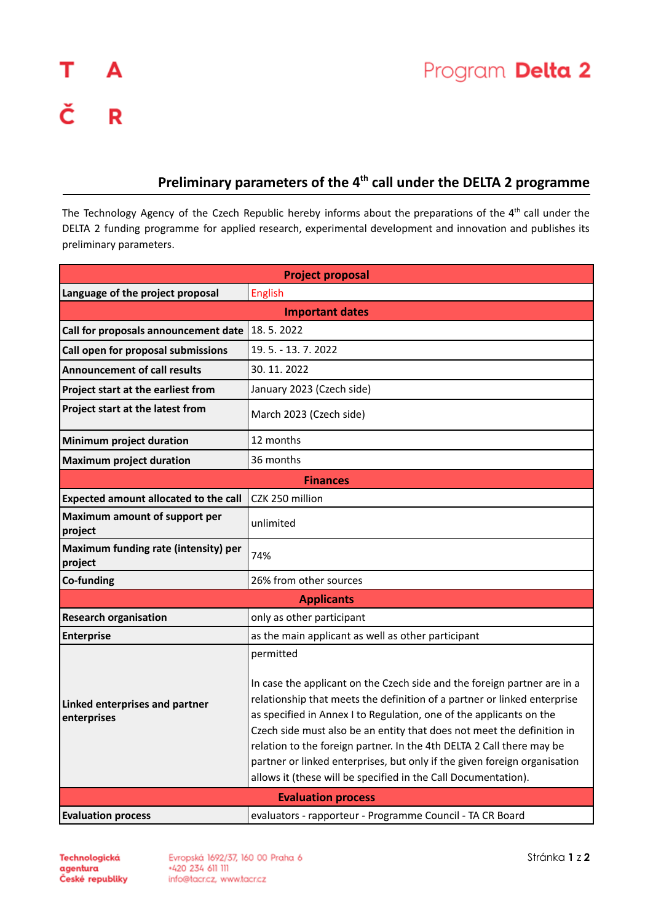## **Preliminary parameters of the 4 th call under the DELTA 2 programme**

The Technology Agency of the Czech Republic hereby informs about the preparations of the 4<sup>th</sup> call under the DELTA 2 funding programme for applied research, experimental development and innovation and publishes its preliminary parameters.

| <b>Project proposal</b>                         |                                                                                                                                                                                                                                                                                                                                                                       |  |
|-------------------------------------------------|-----------------------------------------------------------------------------------------------------------------------------------------------------------------------------------------------------------------------------------------------------------------------------------------------------------------------------------------------------------------------|--|
| Language of the project proposal                | English                                                                                                                                                                                                                                                                                                                                                               |  |
| <b>Important dates</b>                          |                                                                                                                                                                                                                                                                                                                                                                       |  |
| Call for proposals announcement date            | 18.5.2022                                                                                                                                                                                                                                                                                                                                                             |  |
| Call open for proposal submissions              | 19.5. - 13.7.2022                                                                                                                                                                                                                                                                                                                                                     |  |
| <b>Announcement of call results</b>             | 30.11.2022                                                                                                                                                                                                                                                                                                                                                            |  |
| Project start at the earliest from              | January 2023 (Czech side)                                                                                                                                                                                                                                                                                                                                             |  |
| Project start at the latest from                | March 2023 (Czech side)                                                                                                                                                                                                                                                                                                                                               |  |
| <b>Minimum project duration</b>                 | 12 months                                                                                                                                                                                                                                                                                                                                                             |  |
| <b>Maximum project duration</b>                 | 36 months                                                                                                                                                                                                                                                                                                                                                             |  |
| <b>Finances</b>                                 |                                                                                                                                                                                                                                                                                                                                                                       |  |
| <b>Expected amount allocated to the call</b>    | CZK 250 million                                                                                                                                                                                                                                                                                                                                                       |  |
| Maximum amount of support per<br>project        | unlimited                                                                                                                                                                                                                                                                                                                                                             |  |
| Maximum funding rate (intensity) per<br>project | 74%                                                                                                                                                                                                                                                                                                                                                                   |  |
| Co-funding                                      | 26% from other sources                                                                                                                                                                                                                                                                                                                                                |  |
| <b>Applicants</b>                               |                                                                                                                                                                                                                                                                                                                                                                       |  |
| <b>Research organisation</b>                    | only as other participant                                                                                                                                                                                                                                                                                                                                             |  |
| <b>Enterprise</b>                               | as the main applicant as well as other participant                                                                                                                                                                                                                                                                                                                    |  |
| Linked enterprises and partner<br>enterprises   | permitted<br>In case the applicant on the Czech side and the foreign partner are in a<br>relationship that meets the definition of a partner or linked enterprise                                                                                                                                                                                                     |  |
|                                                 | as specified in Annex I to Regulation, one of the applicants on the<br>Czech side must also be an entity that does not meet the definition in<br>relation to the foreign partner. In the 4th DELTA 2 Call there may be<br>partner or linked enterprises, but only if the given foreign organisation<br>allows it (these will be specified in the Call Documentation). |  |
| <b>Evaluation process</b>                       |                                                                                                                                                                                                                                                                                                                                                                       |  |
| <b>Evaluation process</b>                       | evaluators - rapporteur - Programme Council - TA CR Board                                                                                                                                                                                                                                                                                                             |  |

Evropská 1692/37, 160 00 Praha 6 +420 234 611 111 info@tacr.cz, www.tacr.cz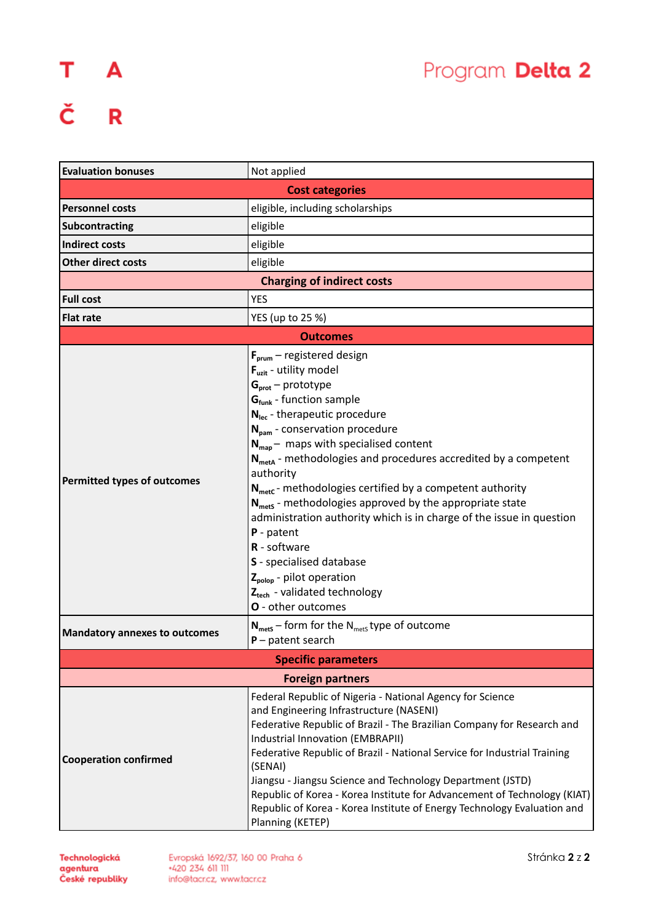## T A<br>Č R

| <b>Evaluation bonuses</b>            | Not applied                                                                                                                                                                                                                                                                                                                                                                                                                                                                                                                                                                                                                                                                                                                                                                                                                               |  |
|--------------------------------------|-------------------------------------------------------------------------------------------------------------------------------------------------------------------------------------------------------------------------------------------------------------------------------------------------------------------------------------------------------------------------------------------------------------------------------------------------------------------------------------------------------------------------------------------------------------------------------------------------------------------------------------------------------------------------------------------------------------------------------------------------------------------------------------------------------------------------------------------|--|
|                                      | <b>Cost categories</b>                                                                                                                                                                                                                                                                                                                                                                                                                                                                                                                                                                                                                                                                                                                                                                                                                    |  |
| <b>Personnel costs</b>               | eligible, including scholarships                                                                                                                                                                                                                                                                                                                                                                                                                                                                                                                                                                                                                                                                                                                                                                                                          |  |
| <b>Subcontracting</b>                | eligible                                                                                                                                                                                                                                                                                                                                                                                                                                                                                                                                                                                                                                                                                                                                                                                                                                  |  |
| <b>Indirect costs</b>                | eligible                                                                                                                                                                                                                                                                                                                                                                                                                                                                                                                                                                                                                                                                                                                                                                                                                                  |  |
| <b>Other direct costs</b>            | eligible                                                                                                                                                                                                                                                                                                                                                                                                                                                                                                                                                                                                                                                                                                                                                                                                                                  |  |
| <b>Charging of indirect costs</b>    |                                                                                                                                                                                                                                                                                                                                                                                                                                                                                                                                                                                                                                                                                                                                                                                                                                           |  |
| <b>Full cost</b>                     | <b>YES</b>                                                                                                                                                                                                                                                                                                                                                                                                                                                                                                                                                                                                                                                                                                                                                                                                                                |  |
| <b>Flat rate</b>                     | YES (up to 25 %)                                                                                                                                                                                                                                                                                                                                                                                                                                                                                                                                                                                                                                                                                                                                                                                                                          |  |
| <b>Outcomes</b>                      |                                                                                                                                                                                                                                                                                                                                                                                                                                                                                                                                                                                                                                                                                                                                                                                                                                           |  |
| Permitted types of outcomes          | $F_{\text{prum}}$ – registered design<br>$F_{uzit}$ - utility model<br>$Gprot - prototype$<br>$Gfunk$ - function sample<br>$N_{\text{lec}}$ - therapeutic procedure<br>N <sub>pam</sub> - conservation procedure<br>$N_{\text{map}}$ – maps with specialised content<br>$N_{\text{meta}}$ - methodologies and procedures accredited by a competent<br>authority<br>$N_{\text{metc}}$ - methodologies certified by a competent authority<br>$N_{\text{mets}}$ - methodologies approved by the appropriate state<br>administration authority which is in charge of the issue in question<br>$P$ - patent<br>R - software<br>S - specialised database<br>$Z_{\text{polop}}$ - pilot operation<br>Z <sub>tech</sub> - validated technology<br><b>O</b> - other outcomes<br>$N_{\text{mets}}$ – form for the $N_{\text{mets}}$ type of outcome |  |
| <b>Mandatory annexes to outcomes</b> | $P$ – patent search                                                                                                                                                                                                                                                                                                                                                                                                                                                                                                                                                                                                                                                                                                                                                                                                                       |  |
| <b>Specific parameters</b>           |                                                                                                                                                                                                                                                                                                                                                                                                                                                                                                                                                                                                                                                                                                                                                                                                                                           |  |
| <b>Foreign partners</b>              |                                                                                                                                                                                                                                                                                                                                                                                                                                                                                                                                                                                                                                                                                                                                                                                                                                           |  |
| <b>Cooperation confirmed</b>         | Federal Republic of Nigeria - National Agency for Science<br>and Engineering Infrastructure (NASENI)<br>Federative Republic of Brazil - The Brazilian Company for Research and<br>Industrial Innovation (EMBRAPII)<br>Federative Republic of Brazil - National Service for Industrial Training<br>(SENAI)<br>Jiangsu - Jiangsu Science and Technology Department (JSTD)<br>Republic of Korea - Korea Institute for Advancement of Technology (KIAT)<br>Republic of Korea - Korea Institute of Energy Technology Evaluation and<br>Planning (KETEP)                                                                                                                                                                                                                                                                                        |  |